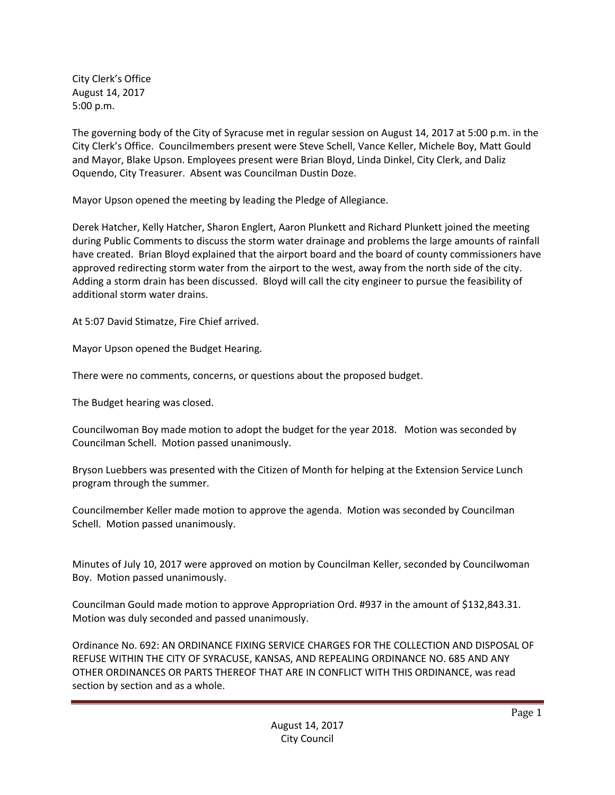City Clerk's Office August 14, 2017 5:00 p.m.

The governing body of the City of Syracuse met in regular session on August 14, 2017 at 5:00 p.m. in the City Clerk's Office. Councilmembers present were Steve Schell, Vance Keller, Michele Boy, Matt Gould and Mayor, Blake Upson. Employees present were Brian Bloyd, Linda Dinkel, City Clerk, and Daliz Oquendo, City Treasurer. Absent was Councilman Dustin Doze.

Mayor Upson opened the meeting by leading the Pledge of Allegiance.

Derek Hatcher, Kelly Hatcher, Sharon Englert, Aaron Plunkett and Richard Plunkett joined the meeting during Public Comments to discuss the storm water drainage and problems the large amounts of rainfall have created. Brian Bloyd explained that the airport board and the board of county commissioners have approved redirecting storm water from the airport to the west, away from the north side of the city. Adding a storm drain has been discussed. Bloyd will call the city engineer to pursue the feasibility of additional storm water drains.

At 5:07 David Stimatze, Fire Chief arrived.

Mayor Upson opened the Budget Hearing.

There were no comments, concerns, or questions about the proposed budget.

The Budget hearing was closed.

Councilwoman Boy made motion to adopt the budget for the year 2018. Motion was seconded by Councilman Schell. Motion passed unanimously.

Bryson Luebbers was presented with the Citizen of Month for helping at the Extension Service Lunch program through the summer.

Councilmember Keller made motion to approve the agenda. Motion was seconded by Councilman Schell. Motion passed unanimously.

Minutes of July 10, 2017 were approved on motion by Councilman Keller, seconded by Councilwoman Boy. Motion passed unanimously.

Councilman Gould made motion to approve Appropriation Ord. #937 in the amount of \$132,843.31. Motion was duly seconded and passed unanimously.

Ordinance No. 692: AN ORDINANCE FIXING SERVICE CHARGES FOR THE COLLECTION AND DISPOSAL OF REFUSE WITHIN THE CITY OF SYRACUSE, KANSAS, AND REPEALING ORDINANCE NO. 685 AND ANY OTHER ORDINANCES OR PARTS THEREOF THAT ARE IN CONFLICT WITH THIS ORDINANCE, was read section by section and as a whole.